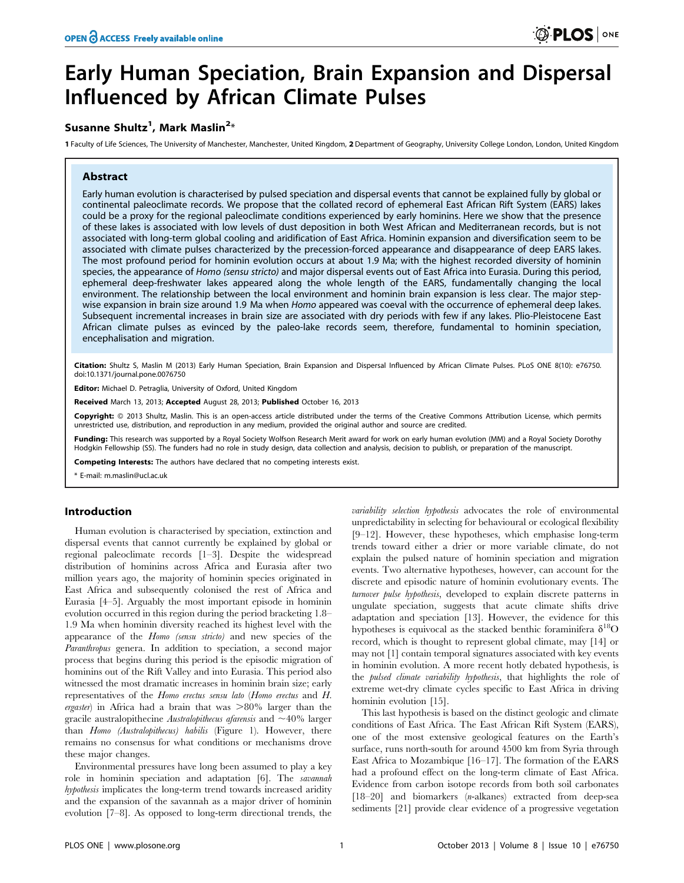# Early Human Speciation, Brain Expansion and Dispersal Influenced by African Climate Pulses

# Susanne Shultz<sup>1</sup>, Mark Maslin<sup>2</sup>\*

1 Faculty of Life Sciences, The University of Manchester, Manchester, United Kingdom, 2 Department of Geography, University College London, London, United Kingdom

# Abstract

Early human evolution is characterised by pulsed speciation and dispersal events that cannot be explained fully by global or continental paleoclimate records. We propose that the collated record of ephemeral East African Rift System (EARS) lakes could be a proxy for the regional paleoclimate conditions experienced by early hominins. Here we show that the presence of these lakes is associated with low levels of dust deposition in both West African and Mediterranean records, but is not associated with long-term global cooling and aridification of East Africa. Hominin expansion and diversification seem to be associated with climate pulses characterized by the precession-forced appearance and disappearance of deep EARS lakes. The most profound period for hominin evolution occurs at about 1.9 Ma; with the highest recorded diversity of hominin species, the appearance of Homo (sensu stricto) and major dispersal events out of East Africa into Eurasia. During this period, ephemeral deep-freshwater lakes appeared along the whole length of the EARS, fundamentally changing the local environment. The relationship between the local environment and hominin brain expansion is less clear. The major stepwise expansion in brain size around 1.9 Ma when Homo appeared was coeval with the occurrence of ephemeral deep lakes. Subsequent incremental increases in brain size are associated with dry periods with few if any lakes. Plio-Pleistocene East African climate pulses as evinced by the paleo-lake records seem, therefore, fundamental to hominin speciation, encephalisation and migration.

Citation: Shultz S, Maslin M (2013) Early Human Speciation, Brain Expansion and Dispersal Influenced by African Climate Pulses. PLoS ONE 8(10): e76750. doi:10.1371/journal.pone.0076750

Editor: Michael D. Petraglia, University of Oxford, United Kingdom

Received March 13, 2013; Accepted August 28, 2013; Published October 16, 2013

Copyright: © 2013 Shultz, Maslin. This is an open-access article distributed under the terms of the Creative Commons Attribution License, which permits unrestricted use, distribution, and reproduction in any medium, provided the original author and source are credited.

Funding: This research was supported by a Royal Society Wolfson Research Merit award for work on early human evolution (MM) and a Royal Society Dorothy Hodgkin Fellowship (SS). The funders had no role in study design, data collection and analysis, decision to publish, or preparation of the manuscript.

Competing Interests: The authors have declared that no competing interests exist.

\* E-mail: m.maslin@ucl.ac.uk

#### Introduction

Human evolution is characterised by speciation, extinction and dispersal events that cannot currently be explained by global or regional paleoclimate records [1–3]. Despite the widespread distribution of hominins across Africa and Eurasia after two million years ago, the majority of hominin species originated in East Africa and subsequently colonised the rest of Africa and Eurasia [4–5]. Arguably the most important episode in hominin evolution occurred in this region during the period bracketing 1.8– 1.9 Ma when hominin diversity reached its highest level with the appearance of the Homo (sensu stricto) and new species of the Paranthropus genera. In addition to speciation, a second major process that begins during this period is the episodic migration of hominins out of the Rift Valley and into Eurasia. This period also witnessed the most dramatic increases in hominin brain size; early representatives of the Homo erectus sensu lato (Homo erectus and H. ergaster) in Africa had a brain that was  $>80\%$  larger than the gracile australopithecine Australopithecus afarensis and  $\sim$ 40% larger than Homo (Australopithecus) habilis (Figure 1). However, there remains no consensus for what conditions or mechanisms drove these major changes.

Environmental pressures have long been assumed to play a key role in hominin speciation and adaptation [6]. The savannah hypothesis implicates the long-term trend towards increased aridity and the expansion of the savannah as a major driver of hominin evolution [7–8]. As opposed to long-term directional trends, the

variability selection hypothesis advocates the role of environmental unpredictability in selecting for behavioural or ecological flexibility [9–12]. However, these hypotheses, which emphasise long-term trends toward either a drier or more variable climate, do not explain the pulsed nature of hominin speciation and migration events. Two alternative hypotheses, however, can account for the discrete and episodic nature of hominin evolutionary events. The turnover pulse hypothesis, developed to explain discrete patterns in ungulate speciation, suggests that acute climate shifts drive adaptation and speciation [13]. However, the evidence for this hypotheses is equivocal as the stacked benthic foraminifera  $\delta^{18}$ O record, which is thought to represent global climate, may [14] or may not [1] contain temporal signatures associated with key events in hominin evolution. A more recent hotly debated hypothesis, is the pulsed climate variability hypothesis, that highlights the role of extreme wet-dry climate cycles specific to East Africa in driving hominin evolution [15].

This last hypothesis is based on the distinct geologic and climate conditions of East Africa. The East African Rift System (EARS), one of the most extensive geological features on the Earth's surface, runs north-south for around 4500 km from Syria through East Africa to Mozambique [16–17]. The formation of the EARS had a profound effect on the long-term climate of East Africa. Evidence from carbon isotope records from both soil carbonates [18–20] and biomarkers (n-alkanes) extracted from deep-sea sediments [21] provide clear evidence of a progressive vegetation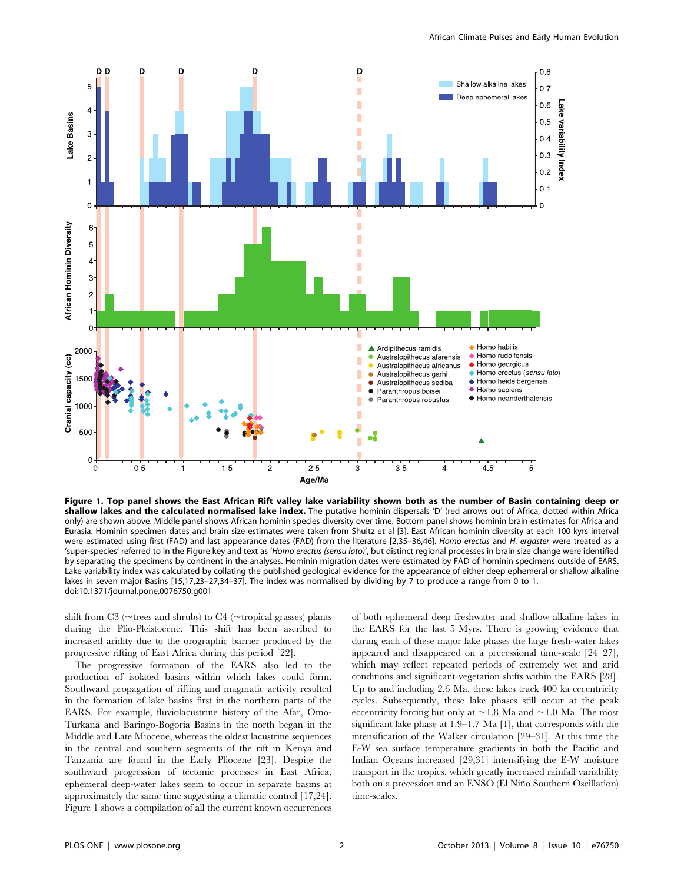

Figure 1. Top panel shows the East African Rift valley lake variability shown both as the number of Basin containing deep or shallow lakes and the calculated normalised lake index. The putative hominin dispersals 'D' (red arrows out of Africa, dotted within Africa only) are shown above. Middle panel shows African hominin species diversity over time. Bottom panel shows hominin brain estimates for Africa and Eurasia. Hominin specimen dates and brain size estimates were taken from Shultz et al [3]. East African hominin diversity at each 100 kyrs interval were estimated using first (FAD) and last appearance dates (FAD) from the literature [2,35-36,46]. Homo erectus and H. ergaster were treated as a 'super-species' referred to in the Figure key and text as 'Homo erectus (sensu lato)', but distinct regional processes in brain size change were identified by separating the specimens by continent in the analyses. Hominin migration dates were estimated by FAD of hominin specimens outside of EARS. Lake variability index was calculated by collating the published geological evidence for the appearance of either deep ephemeral or shallow alkaline lakes in seven major Basins [15,17,23–27,34–37]. The index was normalised by dividing by 7 to produce a range from 0 to 1. doi:10.1371/journal.pone.0076750.g001

shift from C3 ( $\sim$ trees and shrubs) to C4 ( $\sim$ tropical grasses) plants during the Plio-Pleistocene. This shift has been ascribed to increased aridity due to the orographic barrier produced by the progressive rifting of East Africa during this period [22].

The progressive formation of the EARS also led to the production of isolated basins within which lakes could form. Southward propagation of rifting and magmatic activity resulted in the formation of lake basins first in the northern parts of the EARS. For example, fluviolacustrine history of the Afar, Omo-Turkana and Baringo-Bogoria Basins in the north began in the Middle and Late Miocene, whereas the oldest lacustrine sequences in the central and southern segments of the rift in Kenya and Tanzania are found in the Early Pliocene [23]. Despite the southward progression of tectonic processes in East Africa, ephemeral deep-water lakes seem to occur in separate basins at approximately the same time suggesting a climatic control [17,24]. Figure 1 shows a compilation of all the current known occurrences

of both ephemeral deep freshwater and shallow alkaline lakes in the EARS for the last 5 Myrs. There is growing evidence that during each of these major lake phases the large fresh-water lakes appeared and disappeared on a precessional time-scale [24–27], which may reflect repeated periods of extremely wet and arid conditions and significant vegetation shifts within the EARS [28]. Up to and including 2.6 Ma, these lakes track 400 ka eccentricity cycles. Subsequently, these lake phases still occur at the peak eccentricity forcing but only at  $\sim$  1.8 Ma and  $\sim$  1.0 Ma. The most significant lake phase at 1.9–1.7 Ma [1], that corresponds with the intensification of the Walker circulation [29–31]. At this time the E-W sea surface temperature gradients in both the Pacific and Indian Oceans increased [29,31] intensifying the E-W moisture transport in the tropics, which greatly increased rainfall variability both on a precession and an ENSO (El Niño Southern Oscillation) time-scales.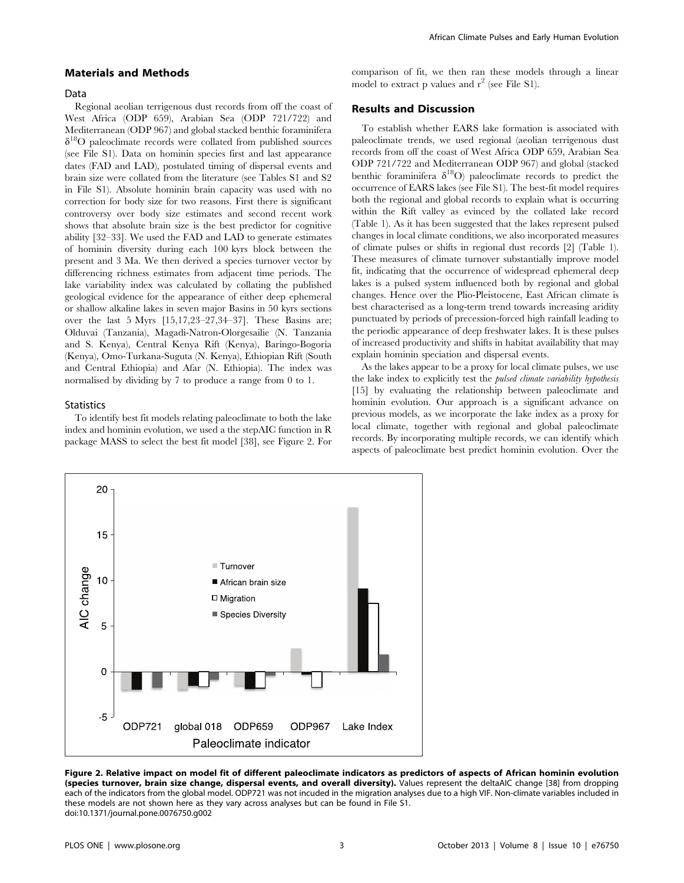#### Materials and Methods

#### Data

Regional aeolian terrigenous dust records from off the coast of West Africa (ODP 659), Arabian Sea (ODP 721/722) and Mediterranean (ODP 967) and global stacked benthic foraminifera  $\delta^{18}$ O paleoclimate records were collated from published sources (see File S1). Data on hominin species first and last appearance dates (FAD and LAD), postulated timing of dispersal events and brain size were collated from the literature (see Tables S1 and S2 in File S1). Absolute hominin brain capacity was used with no correction for body size for two reasons. First there is significant controversy over body size estimates and second recent work shows that absolute brain size is the best predictor for cognitive ability [32–33]. We used the FAD and LAD to generate estimates of hominin diversity during each 100 kyrs block between the present and 3 Ma. We then derived a species turnover vector by differencing richness estimates from adjacent time periods. The lake variability index was calculated by collating the published geological evidence for the appearance of either deep ephemeral or shallow alkaline lakes in seven major Basins in 50 kyrs sections over the last 5 Myrs [15,17,23–27,34–37]. These Basins are; Olduvai (Tanzania), Magadi-Natron-Olorgesailie (N. Tanzania and S. Kenya), Central Kenya Rift (Kenya), Baringo-Bogoria (Kenya), Omo-Turkana-Suguta (N. Kenya), Ethiopian Rift (South and Central Ethiopia) and Afar (N. Ethiopia). The index was normalised by dividing by 7 to produce a range from 0 to 1.

#### **Statistics**

To identify best fit models relating paleoclimate to both the lake index and hominin evolution, we used a the stepAIC function in R package MASS to select the best fit model [38], see Figure 2. For comparison of fit, we then ran these models through a linear model to extract p values and  $r^2$  (see File S1).

### Results and Discussion

To establish whether EARS lake formation is associated with paleoclimate trends, we used regional (aeolian terrigenous dust records from off the coast of West Africa ODP 659, Arabian Sea ODP 721/722 and Mediterranean ODP 967) and global (stacked benthic foraminifera  $\delta^{18}O$ ) paleoclimate records to predict the occurrence of EARS lakes (see File S1). The best-fit model requires both the regional and global records to explain what is occurring within the Rift valley as evinced by the collated lake record (Table 1). As it has been suggested that the lakes represent pulsed changes in local climate conditions, we also incorporated measures of climate pulses or shifts in regional dust records [2] (Table 1). These measures of climate turnover substantially improve model fit, indicating that the occurrence of widespread ephemeral deep lakes is a pulsed system influenced both by regional and global changes. Hence over the Plio-Pleistocene, East African climate is best characterised as a long-term trend towards increasing aridity punctuated by periods of precession-forced high rainfall leading to the periodic appearance of deep freshwater lakes. It is these pulses of increased productivity and shifts in habitat availability that may explain hominin speciation and dispersal events.

As the lakes appear to be a proxy for local climate pulses, we use the lake index to explicitly test the pulsed climate variability hypothesis [15] by evaluating the relationship between paleoclimate and hominin evolution. Our approach is a significant advance on previous models, as we incorporate the lake index as a proxy for local climate, together with regional and global paleoclimate records. By incorporating multiple records, we can identify which aspects of paleoclimate best predict hominin evolution. Over the



Figure 2. Relative impact on model fit of different paleoclimate indicators as predictors of aspects of African hominin evolution (species turnover, brain size change, dispersal events, and overall diversity). Values represent the deltaAIC change [38] from dropping each of the indicators from the global model. ODP721 was not incuded in the migration analyses due to a high VIF. Non-climate variables included in these models are not shown here as they vary across analyses but can be found in File S1. doi:10.1371/journal.pone.0076750.g002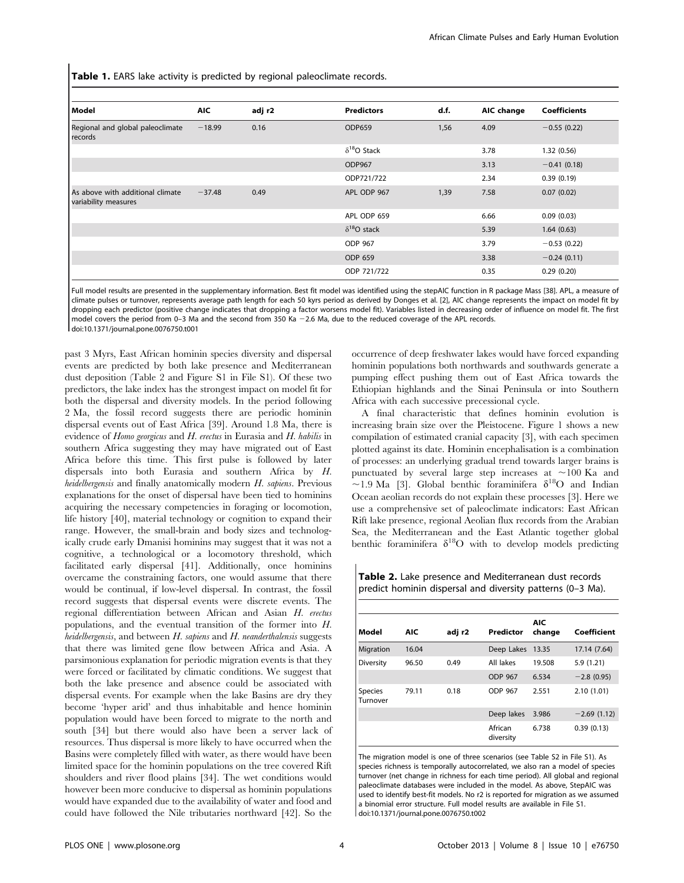Table 1. EARS lake activity is predicted by regional paleoclimate records.

| Model                                                    | <b>AIC</b> | adj r2 | <b>Predictors</b>    | d.f. | AIC change | <b>Coefficients</b> |
|----------------------------------------------------------|------------|--------|----------------------|------|------------|---------------------|
| Regional and global paleoclimate<br>records              | $-18.99$   | 0.16   | <b>ODP659</b>        | 1,56 | 4.09       | $-0.55(0.22)$       |
|                                                          |            |        | $\delta^{18}O$ Stack |      | 3.78       | 1.32(0.56)          |
|                                                          |            |        | ODP967               |      | 3.13       | $-0.41(0.18)$       |
|                                                          |            |        | ODP721/722           |      | 2.34       | 0.39(0.19)          |
| As above with additional climate<br>variability measures | $-37.48$   | 0.49   | APL ODP 967          | 1,39 | 7.58       | 0.07(0.02)          |
|                                                          |            |        | APL ODP 659          |      | 6.66       | 0.09(0.03)          |
|                                                          |            |        | $\delta^{18}O$ stack |      | 5.39       | 1.64(0.63)          |
|                                                          |            |        | ODP 967              |      | 3.79       | $-0.53(0.22)$       |
|                                                          |            |        | ODP 659              |      | 3.38       | $-0.24(0.11)$       |
|                                                          |            |        | ODP 721/722          |      | 0.35       | 0.29(0.20)          |

Full model results are presented in the supplementary information. Best fit model was identified using the stepAIC function in R package Mass [38]. APL, a measure of climate pulses or turnover, represents average path length for each 50 kyrs period as derived by Donges et al. [2], AIC change represents the impact on model fit by dropping each predictor (positive change indicates that dropping a factor worsens model fit). Variables listed in decreasing order of influence on model fit. The first model covers the period from 0-3 Ma and the second from 350 Ka  $-2.6$  Ma, due to the reduced coverage of the APL records. doi:10.1371/journal.pone.0076750.t001

past 3 Myrs, East African hominin species diversity and dispersal events are predicted by both lake presence and Mediterranean dust deposition (Table 2 and Figure S1 in File S1). Of these two predictors, the lake index has the strongest impact on model fit for both the dispersal and diversity models. In the period following 2 Ma, the fossil record suggests there are periodic hominin dispersal events out of East Africa [39]. Around 1.8 Ma, there is evidence of Homo georgicus and H. erectus in Eurasia and H. habilis in southern Africa suggesting they may have migrated out of East Africa before this time. This first pulse is followed by later dispersals into both Eurasia and southern Africa by H. heidelbergensis and finally anatomically modern H. sapiens. Previous explanations for the onset of dispersal have been tied to hominins acquiring the necessary competencies in foraging or locomotion, life history [40], material technology or cognition to expand their range. However, the small-brain and body sizes and technologically crude early Dmanisi hominins may suggest that it was not a cognitive, a technological or a locomotory threshold, which facilitated early dispersal [41]. Additionally, once hominins overcame the constraining factors, one would assume that there would be continual, if low-level dispersal. In contrast, the fossil record suggests that dispersal events were discrete events. The regional differentiation between African and Asian H. erectus populations, and the eventual transition of the former into H. heidelbergensis, and between  $H$ . sapiens and  $H$ . neanderthalensis suggests that there was limited gene flow between Africa and Asia. A parsimonious explanation for periodic migration events is that they were forced or facilitated by climatic conditions. We suggest that both the lake presence and absence could be associated with dispersal events. For example when the lake Basins are dry they become 'hyper arid' and thus inhabitable and hence hominin population would have been forced to migrate to the north and south [34] but there would also have been a server lack of resources. Thus dispersal is more likely to have occurred when the Basins were completely filled with water, as there would have been limited space for the hominin populations on the tree covered Rift shoulders and river flood plains [34]. The wet conditions would however been more conducive to dispersal as hominin populations would have expanded due to the availability of water and food and could have followed the Nile tributaries northward [42]. So the

occurrence of deep freshwater lakes would have forced expanding hominin populations both northwards and southwards generate a pumping effect pushing them out of East Africa towards the Ethiopian highlands and the Sinai Peninsula or into Southern Africa with each successive precessional cycle.

A final characteristic that defines hominin evolution is increasing brain size over the Pleistocene. Figure 1 shows a new compilation of estimated cranial capacity [3], with each specimen plotted against its date. Hominin encephalisation is a combination of processes: an underlying gradual trend towards larger brains is punctuated by several large step increases at  $\sim$ 100 Ka and ~1.9 Ma [3]. Global benthic foraminifera  $\delta^{18}O$  and Indian Ocean aeolian records do not explain these processes [3]. Here we use a comprehensive set of paleoclimate indicators: East African Rift lake presence, regional Aeolian flux records from the Arabian Sea, the Mediterranean and the East Atlantic together global benthic foraminifera  $\delta^{18}$ O with to develop models predicting

Table 2. Lake presence and Mediterranean dust records predict hominin dispersal and diversity patterns (0–3 Ma).

| Model                      | <b>AIC</b> | adj r2 | Predictor            | AIC<br>change | Coefficient   |
|----------------------------|------------|--------|----------------------|---------------|---------------|
| <b>Migration</b>           | 16.04      |        | Deep Lakes           | 13.35         | 17.14 (7.64)  |
| Diversity                  | 96.50      | 0.49   | All lakes            | 19.508        | 5.9(1.21)     |
|                            |            |        | ODP 967              | 6.534         | $-2.8$ (0.95) |
| <b>Species</b><br>Turnover | 79.11      | 0.18   | ODP 967              | 2.551         | 2.10(1.01)    |
|                            |            |        | Deep lakes           | 3.986         | $-2.69(1.12)$ |
|                            |            |        | African<br>diversity | 6.738         | 0.39(0.13)    |

The migration model is one of three scenarios (see Table S2 in File S1). As species richness is temporally autocorrelated, we also ran a model of species turnover (net change in richness for each time period). All global and regional paleoclimate databases were included in the model. As above, StepAIC was used to identify best-fit models. No r2 is reported for migration as we assumed a binomial error structure. Full model results are available in File S1. doi:10.1371/journal.pone.0076750.t002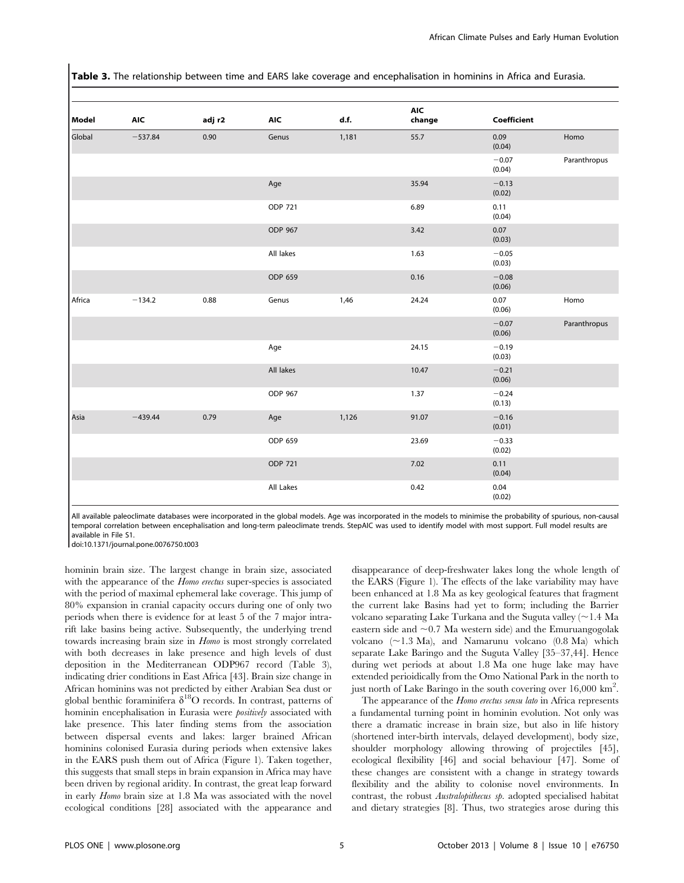Table 3. The relationship between time and EARS lake coverage and encephalisation in hominins in Africa and Eurasia.

| Model<br>Global    | <b>AIC</b><br>$-537.84$ | adj r2<br>0.90 | <b>AIC</b><br>Genus | d.f.<br>1,181 | <b>AIC</b><br>change<br>55.7 | Coefficient       |              |  |
|--------------------|-------------------------|----------------|---------------------|---------------|------------------------------|-------------------|--------------|--|
|                    |                         |                |                     |               |                              | 0.09<br>(0.04)    | Homo         |  |
|                    |                         |                |                     |               |                              | $-0.07$<br>(0.04) | Paranthropus |  |
|                    |                         |                | Age                 |               | 35.94                        | $-0.13$<br>(0.02) |              |  |
|                    |                         |                | ODP 721             |               | 6.89                         | 0.11<br>(0.04)    |              |  |
|                    |                         |                | ODP 967             |               | 3.42                         | 0.07<br>(0.03)    |              |  |
|                    |                         |                | All lakes           |               | 1.63                         | $-0.05$<br>(0.03) |              |  |
|                    |                         |                | ODP 659             |               | 0.16                         | $-0.08$<br>(0.06) |              |  |
| Africa<br>$-134.2$ |                         | 0.88           | Genus               | 1,46          | 24.24                        | 0.07<br>(0.06)    | Homo         |  |
|                    |                         |                |                     |               |                              | $-0.07$<br>(0.06) | Paranthropus |  |
|                    |                         |                | Age                 |               | 24.15                        | $-0.19$<br>(0.03) |              |  |
|                    |                         |                | All lakes           |               | 10.47                        | $-0.21$<br>(0.06) |              |  |
|                    |                         |                | ODP 967             |               | 1.37                         | $-0.24$<br>(0.13) |              |  |
| Asia               | $-439.44$               | 0.79           | Age                 | 1,126         | 91.07                        | $-0.16$<br>(0.01) |              |  |
|                    |                         |                | ODP 659             |               | 23.69                        | $-0.33$<br>(0.02) |              |  |
|                    |                         |                | ODP 721             |               | 7.02                         | 0.11<br>(0.04)    |              |  |
|                    |                         |                | All Lakes           |               | 0.42                         | 0.04<br>(0.02)    |              |  |

All available paleoclimate databases were incorporated in the global models. Age was incorporated in the models to minimise the probability of spurious, non-causal temporal correlation between encephalisation and long-term paleoclimate trends. StepAIC was used to identify model with most support. Full model results are available in File S1.

doi:10.1371/journal.pone.0076750.t003

hominin brain size. The largest change in brain size, associated with the appearance of the *Homo erectus* super-species is associated with the period of maximal ephemeral lake coverage. This jump of 80% expansion in cranial capacity occurs during one of only two periods when there is evidence for at least 5 of the 7 major intrarift lake basins being active. Subsequently, the underlying trend towards increasing brain size in Homo is most strongly correlated with both decreases in lake presence and high levels of dust deposition in the Mediterranean ODP967 record (Table 3), indicating drier conditions in East Africa [43]. Brain size change in African hominins was not predicted by either Arabian Sea dust or global benthic foraminifera  $\delta^{18}$ O records. In contrast, patterns of hominin encephalisation in Eurasia were positively associated with lake presence. This later finding stems from the association between dispersal events and lakes: larger brained African hominins colonised Eurasia during periods when extensive lakes in the EARS push them out of Africa (Figure 1). Taken together, this suggests that small steps in brain expansion in Africa may have been driven by regional aridity. In contrast, the great leap forward in early Homo brain size at 1.8 Ma was associated with the novel ecological conditions [28] associated with the appearance and disappearance of deep-freshwater lakes long the whole length of the EARS (Figure 1). The effects of the lake variability may have been enhanced at 1.8 Ma as key geological features that fragment the current lake Basins had yet to form; including the Barrier volcano separating Lake Turkana and the Suguta valley  $\sim$  1.4 Ma eastern side and  $\sim 0.7$  Ma western side) and the Emuruangogolak volcano  $(\sim 1.3 \text{ Ma})$ , and Namarunu volcano  $(0.8 \text{ Ma})$  which separate Lake Baringo and the Suguta Valley [35–37,44]. Hence during wet periods at about 1.8 Ma one huge lake may have extended perioidically from the Omo National Park in the north to just north of Lake Baringo in the south covering over 16,000 km<sup>2</sup>.

The appearance of the *Homo erectus sensu lato* in Africa represents a fundamental turning point in hominin evolution. Not only was there a dramatic increase in brain size, but also in life history (shortened inter-birth intervals, delayed development), body size, shoulder morphology allowing throwing of projectiles [45], ecological flexibility [46] and social behaviour [47]. Some of these changes are consistent with a change in strategy towards flexibility and the ability to colonise novel environments. In contrast, the robust Australopithecus sp. adopted specialised habitat and dietary strategies [8]. Thus, two strategies arose during this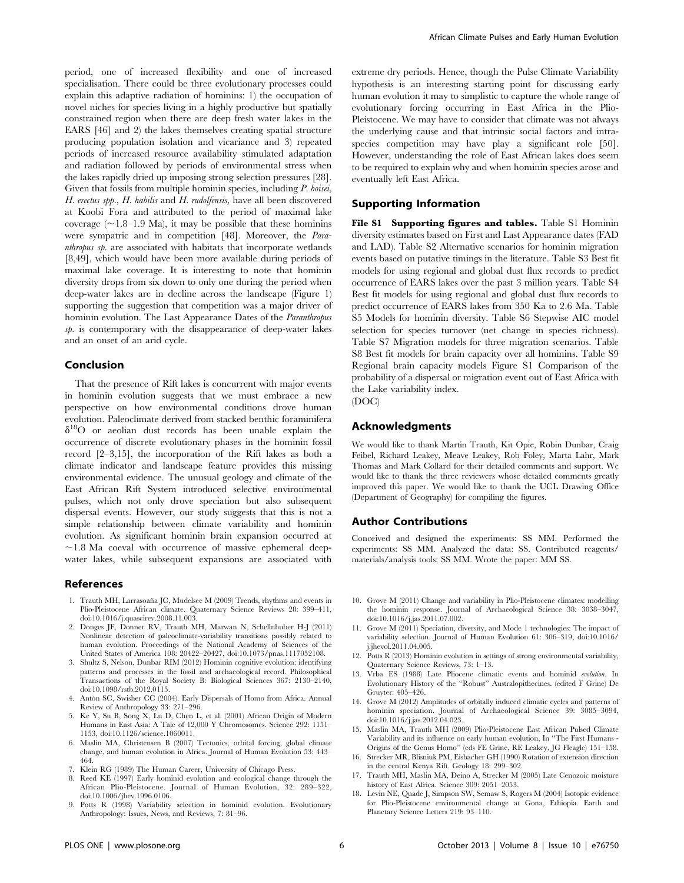period, one of increased flexibility and one of increased specialisation. There could be three evolutionary processes could explain this adaptive radiation of hominins: 1) the occupation of novel niches for species living in a highly productive but spatially constrained region when there are deep fresh water lakes in the EARS [46] and 2) the lakes themselves creating spatial structure producing population isolation and vicariance and 3) repeated periods of increased resource availability stimulated adaptation and radiation followed by periods of environmental stress when the lakes rapidly dried up imposing strong selection pressures [28]. Given that fossils from multiple hominin species, including P. boisei, H. erectus spp., H. habilis and H. rudolfensis, have all been discovered at Koobi Fora and attributed to the period of maximal lake coverage  $(\sim1.8-1.9 \text{ Ma})$ , it may be possible that these hominins were sympatric and in competition [48]. Moreover, the Paranthropus sp. are associated with habitats that incorporate wetlands [8,49], which would have been more available during periods of maximal lake coverage. It is interesting to note that hominin diversity drops from six down to only one during the period when deep-water lakes are in decline across the landscape (Figure 1) supporting the suggestion that competition was a major driver of hominin evolution. The Last Appearance Dates of the Paranthropus  $s$ *p*. is contemporary with the disappearance of deep-water lakes and an onset of an arid cycle.

## Conclusion

That the presence of Rift lakes is concurrent with major events in hominin evolution suggests that we must embrace a new perspective on how environmental conditions drove human evolution. Paleoclimate derived from stacked benthic foraminifera  $\delta^{18}$ O or aeolian dust records has been unable explain the occurrence of discrete evolutionary phases in the hominin fossil record [2–3,15], the incorporation of the Rift lakes as both a climate indicator and landscape feature provides this missing environmental evidence. The unusual geology and climate of the East African Rift System introduced selective environmental pulses, which not only drove speciation but also subsequent dispersal events. However, our study suggests that this is not a simple relationship between climate variability and hominin evolution. As significant hominin brain expansion occurred at  $\sim$ 1.8 Ma coeval with occurrence of massive ephemeral deepwater lakes, while subsequent expansions are associated with

#### References

- 1. Trauth MH, Larrasoaña JC, Mudelsee M (2009) Trends, rhythms and events in Plio-Pleistocene African climate. Quaternary Science Reviews 28: 399–411, doi:10.1016/j.quascirev.2008.11.003.
- 2. Donges JF, Donner RV, Trauth MH, Marwan N, Schellnhuber H-J (2011) Nonlinear detection of paleoclimate-variability transitions possibly related to human evolution. Proceedings of the National Academy of Sciences of the United States of America 108: 20422–20427, doi:10.1073/pnas.1117052108.
- 3. Shultz S, Nelson, Dunbar RIM (2012) Hominin cognitive evolution: identifying patterns and processes in the fossil and archaeological record. Philosophical Transactions of the Royal Society B: Biological Sciences 367: 2130–2140, doi:10.1098/rstb.2012.0115.
- 4. Antón SC, Swisher CC (2004). Early Dispersals of Homo from Africa. Annual Review of Anthropology 33: 271-296.
- 5. Ke Y, Su B, Song X, Lu D, Chen L, et al. (2001) African Origin of Modern Humans in East Asia: A Tale of 12,000 Y Chromosomes. Science 292: 1151-1153, doi:10.1126/science.1060011.
- 6. Maslin MA, Christensen B (2007) Tectonics, orbital forcing, global climate change, and human evolution in Africa. Journal of Human Evolution 53: 443– 464.
- 7. Klein RG (1989) The Human Career, University of Chicago Press.
- 8. Reed KE (1997) Early hominid evolution and ecological change through the African Plio-Pleistocene. Journal of Human Evolution, 32: 289–322, doi:10.1006/jhev.1996.0106.
- 9. Potts R (1998) Variability selection in hominid evolution. Evolutionary Anthropology: Issues, News, and Reviews, 7: 81–96.

extreme dry periods. Hence, though the Pulse Climate Variability hypothesis is an interesting starting point for discussing early human evolution it may to simplistic to capture the whole range of evolutionary forcing occurring in East Africa in the Plio-Pleistocene. We may have to consider that climate was not always the underlying cause and that intrinsic social factors and intraspecies competition may have play a significant role [50]. However, understanding the role of East African lakes does seem to be required to explain why and when hominin species arose and eventually left East Africa.

## Supporting Information

File S1 Supporting figures and tables. Table S1 Hominin diversity estimates based on First and Last Appearance dates (FAD and LAD). Table S2 Alternative scenarios for hominin migration events based on putative timings in the literature. Table S3 Best fit models for using regional and global dust flux records to predict occurrence of EARS lakes over the past 3 million years. Table S4 Best fit models for using regional and global dust flux records to predict occurrence of EARS lakes from 350 Ka to 2.6 Ma. Table S5 Models for hominin diversity. Table S6 Stepwise AIC model selection for species turnover (net change in species richness). Table S7 Migration models for three migration scenarios. Table S8 Best fit models for brain capacity over all hominins. Table S9 Regional brain capacity models Figure S1 Comparison of the probability of a dispersal or migration event out of East Africa with the Lake variability index.

(DOC)

### Acknowledgments

We would like to thank Martin Trauth, Kit Opie, Robin Dunbar, Craig Feibel, Richard Leakey, Meave Leakey, Rob Foley, Marta Lahr, Mark Thomas and Mark Collard for their detailed comments and support. We would like to thank the three reviewers whose detailed comments greatly improved this paper. We would like to thank the UCL Drawing Office (Department of Geography) for compiling the figures.

#### Author Contributions

Conceived and designed the experiments: SS MM. Performed the experiments: SS MM. Analyzed the data: SS. Contributed reagents/ materials/analysis tools: SS MM. Wrote the paper: MM SS.

- 10. Grove M (2011) Change and variability in Plio-Pleistocene climates: modelling the hominin response. Journal of Archaeological Science 38: 3038–3047, doi:10.1016/j.jas.2011.07.002.
- 11. Grove M (2011) Speciation, diversity, and Mode 1 technologies: The impact of variability selection. Journal of Human Evolution 61: 306–319, doi:10.1016/ j.jhevol.2011.04.005.
- 12. Potts R (2013) Hominin evolution in settings of strong environmental variability, Quaternary Science Reviews, 73: 1–13.
- 13. Vrba ES (1988) Late Pliocene climatic events and hominid evolution. In Evolutionary History of the ''Robust'' Australopithecines. (edited F Grine) De Gruyter: 405–426.
- 14. Grove M (2012) Amplitudes of orbitally induced climatic cycles and patterns of hominin speciation. Journal of Archaeological Science 39: 3085–3094, doi:10.1016/j.jas.2012.04.023.
- 15. Maslin MA, Trauth MH (2009) Plio-Pleistocene East African Pulsed Climate Variability and its influence on early human evolution, In ''The First Humans - Origins of the Genus Homo'' (eds FE Grine, RE Leakey, JG Fleagle) 151–158.
- 16. Strecker MR, Blisniuk PM, Eisbacher GH (1990) Rotation of extension direction in the central Kenya Rift. Geology 18: 299–302.
- 17. Trauth MH, Maslin MA, Deino A, Strecker M (2005) Late Cenozoic moisture history of East Africa. Science 309: 2051–2053.
- 18. Levin NE, Quade J, Simpson SW, Semaw S, Rogers M (2004) Isotopic evidence for Plio-Pleistocene environmental change at Gona, Ethiopia. Earth and Planetary Science Letters 219: 93–110.